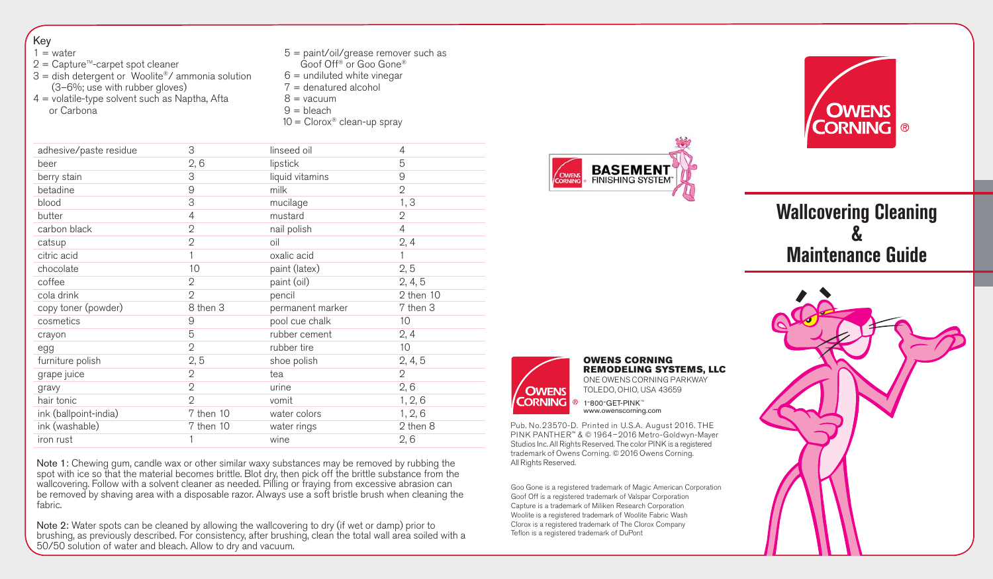| Key<br>$1 = water$<br>$2$ = Capture <sup>™</sup> -carpet spot cleaner<br>$3 =$ dish detergent or Woolite®/ ammonia solution<br>(3-6%; use with rubber gloves)<br>$4$ = volatile-type solvent such as Naptha, Afta<br>or Carbona |                | $5 =$ paint/oil/grease remover such as<br>Goof Off <sup>®</sup> or Goo Gone®<br>$6 =$ undiluted white vinegar<br>$7 =$ denatured alcohol<br>$8 = vacuum$<br>$9 = \text{bleach}$<br>$10 = Clorox^*$ clean-up spray |                |
|---------------------------------------------------------------------------------------------------------------------------------------------------------------------------------------------------------------------------------|----------------|-------------------------------------------------------------------------------------------------------------------------------------------------------------------------------------------------------------------|----------------|
| adhesive/paste residue                                                                                                                                                                                                          | 3              | linseed oil                                                                                                                                                                                                       | 4              |
| beer                                                                                                                                                                                                                            | 2,6            | lipstick                                                                                                                                                                                                          | 5              |
| berry stain                                                                                                                                                                                                                     | 3              | liquid vitamins                                                                                                                                                                                                   | 9              |
| betadine                                                                                                                                                                                                                        | 9              | milk                                                                                                                                                                                                              | $\overline{2}$ |
| blood                                                                                                                                                                                                                           | 3              | mucilage                                                                                                                                                                                                          | 1, 3           |
| butter                                                                                                                                                                                                                          | $\overline{4}$ | mustard                                                                                                                                                                                                           | $\overline{2}$ |
| carbon black                                                                                                                                                                                                                    | $\overline{2}$ | nail polish                                                                                                                                                                                                       | $\overline{4}$ |
| catsup                                                                                                                                                                                                                          | $\overline{2}$ | oil                                                                                                                                                                                                               | 2, 4           |
| citric acid                                                                                                                                                                                                                     | $\mathbf{1}$   | oxalic acid                                                                                                                                                                                                       | $\mathbf{1}$   |
| chocolate                                                                                                                                                                                                                       | 10             | paint (latex)                                                                                                                                                                                                     | 2, 5           |
| coffee                                                                                                                                                                                                                          | $\overline{2}$ | paint (oil)                                                                                                                                                                                                       | 2, 4, 5        |
| cola drink                                                                                                                                                                                                                      | $\overline{2}$ | pencil                                                                                                                                                                                                            | $2$ then $10$  |
| copy toner (powder)                                                                                                                                                                                                             | 8 then 3       | permanent marker                                                                                                                                                                                                  | 7 then 3       |
| cosmetics                                                                                                                                                                                                                       | 9              | pool cue chalk                                                                                                                                                                                                    | 10             |
| crayon                                                                                                                                                                                                                          | 5              | rubber cement                                                                                                                                                                                                     | 2, 4           |
| egg                                                                                                                                                                                                                             | $\overline{2}$ | rubber tire                                                                                                                                                                                                       | 10             |
| furniture polish                                                                                                                                                                                                                | 2, 5           | shoe polish                                                                                                                                                                                                       | 2, 4, 5        |
| grape juice                                                                                                                                                                                                                     | $\overline{2}$ | tea                                                                                                                                                                                                               | $\overline{2}$ |
| gravy                                                                                                                                                                                                                           | $\overline{2}$ | urine                                                                                                                                                                                                             | 2, 6           |
| hair tonic                                                                                                                                                                                                                      | $\mathcal{O}$  | vomit                                                                                                                                                                                                             | 1, 2, 6        |
| ink (ballpoint-india)                                                                                                                                                                                                           | 7 then 10      | water colors                                                                                                                                                                                                      | 1, 2, 6        |
| ink (washable)                                                                                                                                                                                                                  | 7 then 10      | water rings                                                                                                                                                                                                       | 2 then 8       |
| iron rust                                                                                                                                                                                                                       | 1              | wine                                                                                                                                                                                                              | 2, 6           |

Note 1: Chewing gum, candle wax or other similar waxy substances may be removed by rubbing the spot with ice so that the material becomes brittle. Blot dry, then pick off the brittle substance from the wallcovering. Follow with a solvent cleaner as needed. Pilling or fraying from excessive abrasion can be removed by shaving area with a disposable razor. Always use a soft bristle brush when cleaning the fabric.

Note 2: Water spots can be cleaned by allowing the wallcovering to dry (if wet or damp) prior to brushing, as previously described. For consistency, after brushing, clean the total wall area soiled with a 50/50 solution of water and bleach. Allow to dry and vacuum.





# **Wallcovering Cleaning & Maintenance Guide**



OWENS CORNING REMODELING SYSTEMS, LLC ONE OWENS CORNING PARKWAY TOLEDO, OHIO, USA 43659  $@1-800-GET-PINK <sup>$\omega$</sup>$ www.owenscorning.com

Pub. No. 23570-D. Printed in U.S.A. August 2016. THE PINK PANTHER™ & © 1964–2016 Metro-Goldwyn-Mayer Studios Inc. All Rights Reserved. The color PINK is a registered trademark of Owens Corning. © 2016 Owens Corning. All Rights Reserved.

Goo Gone is a registered trademark of Magic American Corporation Goof Off is a registered trademark of Valspar Corporation Capture is a trademark of Miliken Research Corporation Woolite is a registered trademark of Woolite Fabric Wash Clorox is a registered trademark of The Clorox Company Teflon is a registered trademark of DuPont